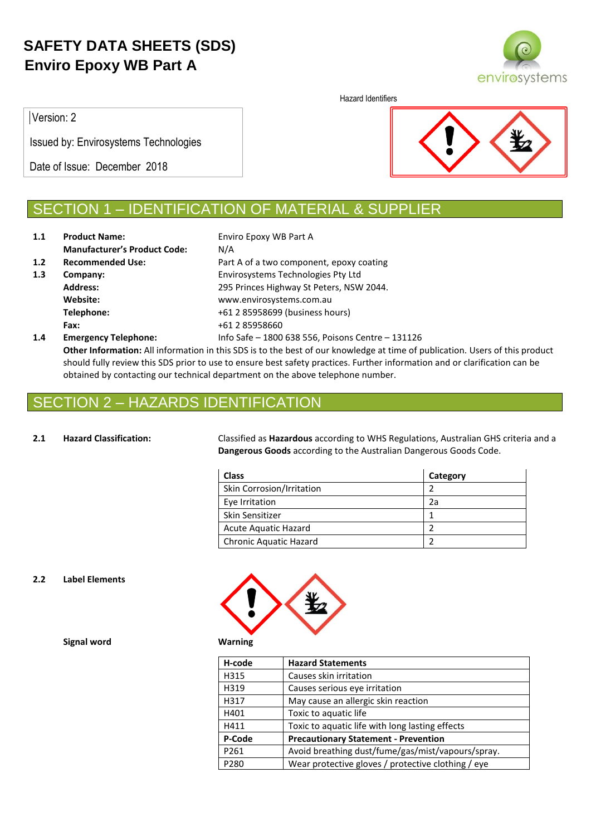

Hazard Identifiers

Version: 2

Issued by: Envirosystems Technologies

Date of Issue: December 2018



# SECTION 1 – IDENTIFICATION OF MATERIAL & SUPPLIER

| 1.1 | <b>Product Name:</b>                | Enviro Epoxy WB Part A                                                                       |
|-----|-------------------------------------|----------------------------------------------------------------------------------------------|
|     | <b>Manufacturer's Product Code:</b> | N/A                                                                                          |
| 1.2 | <b>Recommended Use:</b>             | Part A of a two component, epoxy coating                                                     |
| 1.3 | Company:                            | Envirosystems Technologies Pty Ltd                                                           |
|     | <b>Address:</b>                     | 295 Princes Highway St Peters, NSW 2044.                                                     |
|     | Website:                            | www.envirosystems.com.au                                                                     |
|     | Telephone:                          | +61 2 85958699 (business hours)                                                              |
|     | Fax:                                | +61 2 85958660                                                                               |
| 1.4 | <b>Emergency Telephone:</b>         | Info Safe - 1800 638 556, Poisons Centre - 131126                                            |
|     |                                     | Other Information All information in this CDC is to the heat of our lineaulates of time of t |

**Other Information:** All information in this SDS is to the best of our knowledge at time of publication. Users of this product should fully review this SDS prior to use to ensure best safety practices. Further information and or clarification can be obtained by contacting our technical department on the above telephone number.

## 2 – HAZARDS IDENTIFICATION

**2.1 Hazard Classification:** Classified as **Hazardous** according to WHS Regulations, Australian GHS criteria and a **Dangerous Goods** according to the Australian Dangerous Goods Code.

| Class                         | Category |
|-------------------------------|----------|
| Skin Corrosion/Irritation     |          |
| Eye Irritation                | 2a       |
| Skin Sensitizer               |          |
| Acute Aquatic Hazard          |          |
| <b>Chronic Aquatic Hazard</b> |          |

### **2.2 Label Elements**

**Signal word Warning**

| H-code | <b>Hazard Statements</b>                           |
|--------|----------------------------------------------------|
| H315   | Causes skin irritation                             |
| H319   | Causes serious eye irritation                      |
| H317   | May cause an allergic skin reaction                |
| H401   | Toxic to aquatic life                              |
| H411   | Toxic to aquatic life with long lasting effects    |
| P-Code | <b>Precautionary Statement - Prevention</b>        |
| P261   | Avoid breathing dust/fume/gas/mist/vapours/spray.  |
| P280   | Wear protective gloves / protective clothing / eye |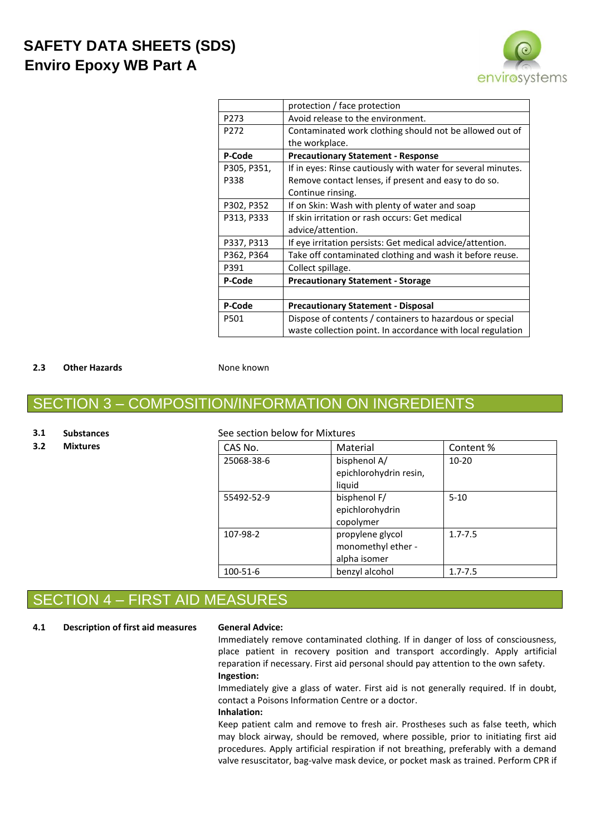

|                  | protection / face protection                                 |
|------------------|--------------------------------------------------------------|
| P273             | Avoid release to the environment.                            |
| P <sub>272</sub> | Contaminated work clothing should not be allowed out of      |
|                  | the workplace.                                               |
| P-Code           | <b>Precautionary Statement - Response</b>                    |
| P305, P351,      | If in eyes: Rinse cautiously with water for several minutes. |
| P338             | Remove contact lenses, if present and easy to do so.         |
|                  | Continue rinsing.                                            |
| P302, P352       | If on Skin: Wash with plenty of water and soap               |
| P313, P333       | If skin irritation or rash occurs: Get medical               |
|                  | advice/attention.                                            |
| P337, P313       | If eye irritation persists: Get medical advice/attention.    |
| P362, P364       | Take off contaminated clothing and wash it before reuse.     |
| P391             | Collect spillage.                                            |
| P-Code           | <b>Precautionary Statement - Storage</b>                     |
|                  |                                                              |
| P-Code           | <b>Precautionary Statement - Disposal</b>                    |
| P501             | Dispose of contents / containers to hazardous or special     |
|                  | waste collection point. In accordance with local regulation  |

### **2.3 Other Hazards None known**

## 3 – COMPOSITION/INFORMATION ON INGREDIENTS

### **3.1 Substances** See section below for Mixtures

| 3.2 | <b>Mixtures</b> | CAS No.    | Material                                               | Content%    |
|-----|-----------------|------------|--------------------------------------------------------|-------------|
|     |                 | 25068-38-6 | bisphenol A/<br>epichlorohydrin resin,<br>liquid       | $10 - 20$   |
|     |                 | 55492-52-9 | bisphenol F/<br>epichlorohydrin<br>copolymer           | $5 - 10$    |
|     |                 | 107-98-2   | propylene glycol<br>monomethyl ether -<br>alpha isomer | $1.7 - 7.5$ |
|     |                 | 100-51-6   | benzyl alcohol                                         | $1.7 - 7.5$ |

## SECTION 4 – FIRST AID MEASURES

**4.1 Description of first aid measures General Advice:**

Immediately remove contaminated clothing. If in danger of loss of consciousness, place patient in recovery position and transport accordingly. Apply artificial reparation if necessary. First aid personal should pay attention to the own safety. **Ingestion:**

Immediately give a glass of water. First aid is not generally required. If in doubt, contact a Poisons Information Centre or a doctor.

### **Inhalation:**

Keep patient calm and remove to fresh air. Prostheses such as false teeth, which may block airway, should be removed, where possible, prior to initiating first aid procedures. Apply artificial respiration if not breathing, preferably with a demand valve resuscitator, bag-valve mask device, or pocket mask as trained. Perform CPR if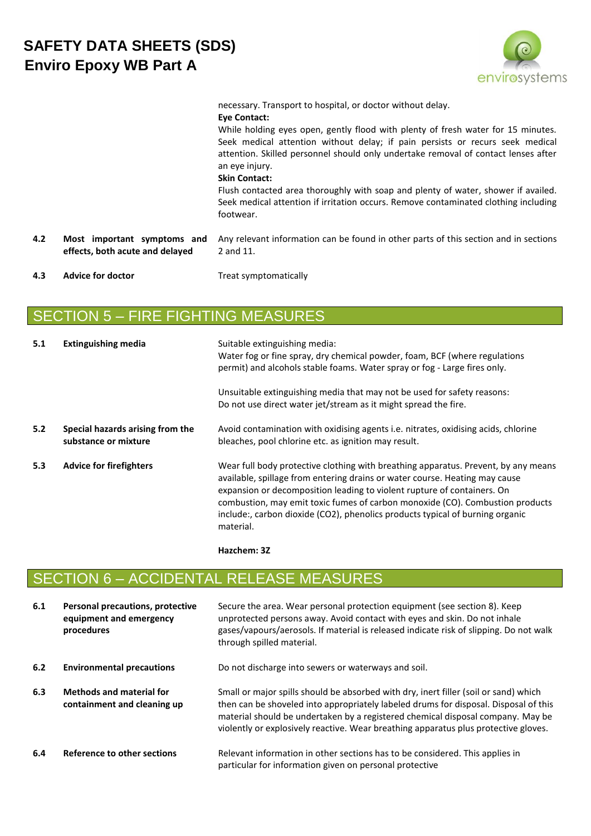

necessary. Transport to hospital, or doctor without delay. **Eye Contact:**

While holding eyes open, gently flood with plenty of fresh water for 15 minutes. Seek medical attention without delay; if pain persists or recurs seek medical attention. Skilled personnel should only undertake removal of contact lenses after an eye injury.

### **Skin Contact:**

Flush contacted area thoroughly with soap and plenty of water, shower if availed. Seek medical attention if irritation occurs. Remove contaminated clothing including footwear.

- **4.2 Most important symptoms and effects, both acute and delayed** Any relevant information can be found in other parts of this section and in sections 2 and 11.
- **4.3 Advice for doctor Treat symptomatically**

# SECTION 5 – FIRE FIGHTING MEASURES

| 5.1 | Extinguishing media                                      | Suitable extinguishing media:<br>Water fog or fine spray, dry chemical powder, foam, BCF (where regulations<br>permit) and alcohols stable foams. Water spray or fog - Large fires only.                                                                                                                                                                                                                                    |
|-----|----------------------------------------------------------|-----------------------------------------------------------------------------------------------------------------------------------------------------------------------------------------------------------------------------------------------------------------------------------------------------------------------------------------------------------------------------------------------------------------------------|
|     |                                                          | Unsuitable extinguishing media that may not be used for safety reasons:<br>Do not use direct water jet/stream as it might spread the fire.                                                                                                                                                                                                                                                                                  |
| 5.2 | Special hazards arising from the<br>substance or mixture | Avoid contamination with oxidising agents i.e. nitrates, oxidising acids, chlorine<br>bleaches, pool chlorine etc. as ignition may result.                                                                                                                                                                                                                                                                                  |
| 5.3 | <b>Advice for firefighters</b>                           | Wear full body protective clothing with breathing apparatus. Prevent, by any means<br>available, spillage from entering drains or water course. Heating may cause<br>expansion or decomposition leading to violent rupture of containers. On<br>combustion, may emit toxic fumes of carbon monoxide (CO). Combustion products<br>include:, carbon dioxide (CO2), phenolics products typical of burning organic<br>material. |

### **Hazchem: 3Z**

### SECTION 6 – ACCIDENTAL RELEASE MEASURES

| 6.1 | Personal precautions, protective<br>equipment and emergency<br>procedures | Secure the area. Wear personal protection equipment (see section 8). Keep<br>unprotected persons away. Avoid contact with eyes and skin. Do not inhale<br>gases/vapours/aerosols. If material is released indicate risk of slipping. Do not walk<br>through spilled material.                                                                          |
|-----|---------------------------------------------------------------------------|--------------------------------------------------------------------------------------------------------------------------------------------------------------------------------------------------------------------------------------------------------------------------------------------------------------------------------------------------------|
| 6.2 | <b>Environmental precautions</b>                                          | Do not discharge into sewers or waterways and soil.                                                                                                                                                                                                                                                                                                    |
| 6.3 | <b>Methods and material for</b><br>containment and cleaning up            | Small or major spills should be absorbed with dry, inert filler (soil or sand) which<br>then can be shoveled into appropriately labeled drums for disposal. Disposal of this<br>material should be undertaken by a registered chemical disposal company. May be<br>violently or explosively reactive. Wear breathing apparatus plus protective gloves. |
| 6.4 | Reference to other sections                                               | Relevant information in other sections has to be considered. This applies in<br>particular for information given on personal protective                                                                                                                                                                                                                |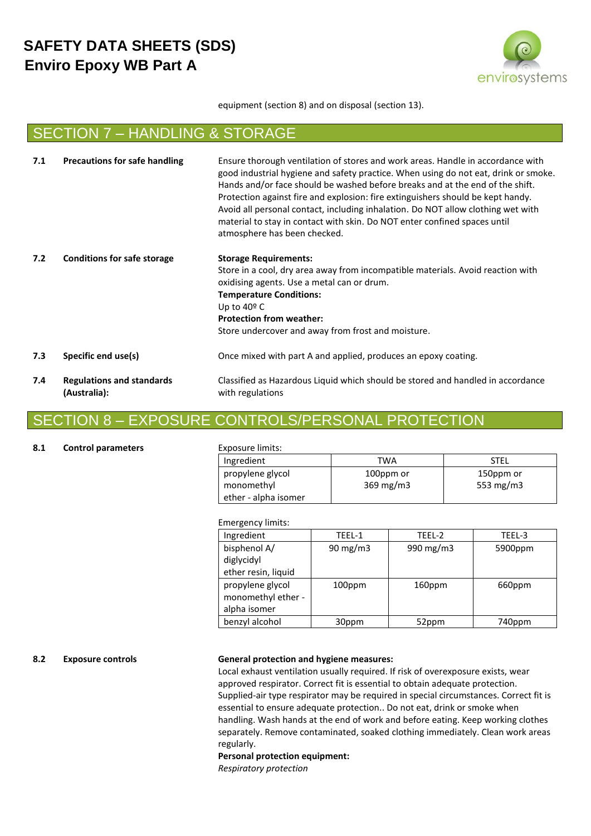

equipment (section 8) and on disposal (section 13).

### SECTION 7 – HANDLING & STORAGE

| 7.1 | <b>Precautions for safe handling</b> | Ensure thorough ventilation of stores and work areas. Handle in accordance with<br>good industrial hygiene and safety practice. When using do not eat, drink or smoke.<br>Hands and/or face should be washed before breaks and at the end of the shift.<br>Protection against fire and explosion: fire extinguishers should be kept handy.<br>Avoid all personal contact, including inhalation. Do NOT allow clothing wet with<br>material to stay in contact with skin. Do NOT enter confined spaces until<br>atmosphere has been checked. |
|-----|--------------------------------------|---------------------------------------------------------------------------------------------------------------------------------------------------------------------------------------------------------------------------------------------------------------------------------------------------------------------------------------------------------------------------------------------------------------------------------------------------------------------------------------------------------------------------------------------|
| 7.2 | <b>Conditions for safe storage</b>   | <b>Storage Requirements:</b><br>Store in a cool, dry area away from incompatible materials. Avoid reaction with<br>oxidising agents. Use a metal can or drum.<br><b>Temperature Conditions:</b><br>Up to $40^{\circ}$ C<br><b>Protection from weather:</b><br>Store undercover and away from frost and moisture.                                                                                                                                                                                                                            |
| 7.3 | Specific end use(s)                  | Once mixed with part A and applied, produces an epoxy coating.                                                                                                                                                                                                                                                                                                                                                                                                                                                                              |
| 7.4 | <b>Regulations and standards</b>     | Classified as Hazardous Liquid which should be stored and handled in accordance                                                                                                                                                                                                                                                                                                                                                                                                                                                             |

## ON 8 – EXPOSURE CONTROLS/PERSONAL PROTECTION

with regulations

### **8.1 Control parameters Exposure limits:**

**(Australia):**

| Ingredient           | TWA                | <b>STEL</b>  |  |  |
|----------------------|--------------------|--------------|--|--|
| propylene glycol     | 100ppm or          | 150ppm or    |  |  |
| monomethyl           | $369 \text{ mg/m}$ | 553 mg/m $3$ |  |  |
| ether - alpha isomer |                    |              |  |  |

### Emergency limits:

| Ingredient          | TEEL-1              | TEEL-2    | TEEL-3  |
|---------------------|---------------------|-----------|---------|
| bisphenol A/        | $90 \text{ mg/m}$ 3 | 990 mg/m3 | 5900ppm |
| diglycidyl          |                     |           |         |
| ether resin, liquid |                     |           |         |
| propylene glycol    | 100ppm              | 160ppm    | 660ppm  |
| monomethyl ether -  |                     |           |         |
| alpha isomer        |                     |           |         |
| benzyl alcohol      | 30ppm               | 52ppm     | 740ppm  |

### **8.2 Exposure controls General protection and hygiene measures:**

Local exhaust ventilation usually required. If risk of overexposure exists, wear approved respirator. Correct fit is essential to obtain adequate protection. Supplied-air type respirator may be required in special circumstances. Correct fit is essential to ensure adequate protection.. Do not eat, drink or smoke when handling. Wash hands at the end of work and before eating. Keep working clothes separately. Remove contaminated, soaked clothing immediately. Clean work areas regularly.

**Personal protection equipment:**

*Respiratory protection*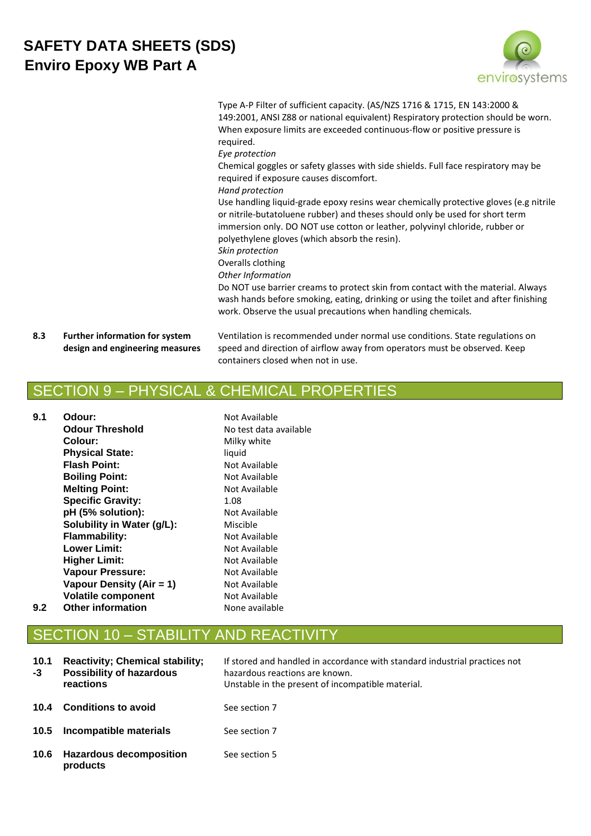

| $\mathbf{z}$ | Eurthor information for cuctom | Overalls clothing<br>Other Information<br>Do NOT use barrier creams to protect skin from contact with the material. Always<br>wash hands before smoking, eating, drinking or using the toilet and after finishing<br>work. Observe the usual precautions when handling chemicals.<br>Vantilation is recommended under normal use conditions. State requisions on                                                                                                                                                                                                                                                                                                                                                                                            |
|--------------|--------------------------------|-------------------------------------------------------------------------------------------------------------------------------------------------------------------------------------------------------------------------------------------------------------------------------------------------------------------------------------------------------------------------------------------------------------------------------------------------------------------------------------------------------------------------------------------------------------------------------------------------------------------------------------------------------------------------------------------------------------------------------------------------------------|
|              |                                | Type A-P Filter of sufficient capacity. (AS/NZS 1716 & 1715, EN 143:2000 &<br>149:2001, ANSI Z88 or national equivalent) Respiratory protection should be worn.<br>When exposure limits are exceeded continuous-flow or positive pressure is<br>required.<br>Eye protection<br>Chemical goggles or safety glasses with side shields. Full face respiratory may be<br>required if exposure causes discomfort.<br>Hand protection<br>Use handling liquid-grade epoxy resins wear chemically protective gloves (e.g nitrile<br>or nitrile-butatoluene rubber) and theses should only be used for short term<br>immersion only. DO NOT use cotton or leather, polyvinyl chloride, rubber or<br>polyethylene gloves (which absorb the resin).<br>Skin protection |

**8.3 Further information for system design and engineering measures**

Ventilation is recommended under normal use conditions. State regulations on speed and direction of airflow away from operators must be observed. Keep containers closed when not in use.

# SECTION 9 – PHYSICAL & CHEMICAL PROPERTIES

| 9.1 | Odour:                     | Not Available  |
|-----|----------------------------|----------------|
|     | <b>Odour Threshold</b>     | No test data a |
|     | Colour:                    | Milky white    |
|     | <b>Physical State:</b>     | liquid         |
|     | <b>Flash Point:</b>        | Not Available  |
|     | <b>Boiling Point:</b>      | Not Available  |
|     | <b>Melting Point:</b>      | Not Available  |
|     | <b>Specific Gravity:</b>   | 1.08           |
|     | pH (5% solution):          | Not Available  |
|     | Solubility in Water (g/L): | Miscible       |
|     | <b>Flammability:</b>       | Not Available  |
|     | <b>Lower Limit:</b>        | Not Available  |
|     | <b>Higher Limit:</b>       | Not Available  |
|     | <b>Vapour Pressure:</b>    | Not Available  |
|     | Vapour Density (Air = 1)   | Not Available  |
|     | <b>Volatile component</b>  | Not Available  |
| 9.2 | <b>Other information</b>   | None availab   |

# t data availabl<mark>e</mark><br>white *r*ailable  $n$ ailable *pailable r*ailable *r*ailable railabl<mark>e</mark><br>railable *v*ailable **Vailable** *<u>B</u>*

# SECTION 10 - STABILITY AND REACTIVIT

| 10.1<br>-3 | <b>Reactivity; Chemical stability;</b><br><b>Possibility of hazardous</b><br>reactions | If stored and handled in accordance with standard industrial practices not<br>hazardous reactions are known.<br>Unstable in the present of incompatible material. |
|------------|----------------------------------------------------------------------------------------|-------------------------------------------------------------------------------------------------------------------------------------------------------------------|
| 10.4       | <b>Conditions to avoid</b>                                                             | See section 7                                                                                                                                                     |
| 10.5       | Incompatible materials                                                                 | See section 7                                                                                                                                                     |
| 10.6       | <b>Hazardous decomposition</b><br>products                                             | See section 5                                                                                                                                                     |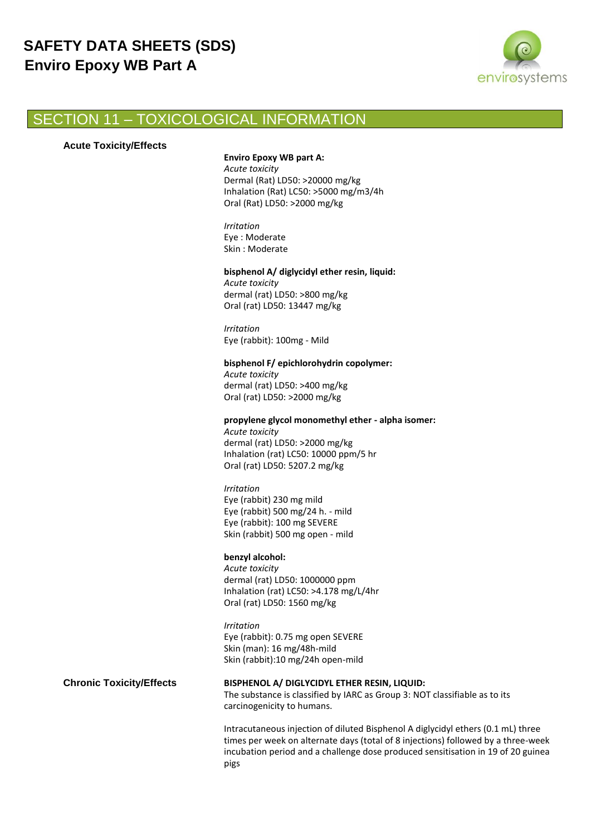

## ION 11 – TOXICOLOGICAL INFORMATION

### **Acute Toxicity/Effects**

### **Enviro Epoxy WB part A:**

*Acute toxicity* Dermal (Rat) LD50: >20000 mg/kg Inhalation (Rat) LC50: >5000 mg/m3/4h Oral (Rat) LD50: >2000 mg/kg

*Irritation* Eye : Moderate Skin : Moderate

**bisphenol A/ diglycidyl ether resin, liquid:** *Acute toxicity*

dermal (rat) LD50: >800 mg/kg Oral (rat) LD50: 13447 mg/kg

*Irritation* Eye (rabbit): 100mg - Mild

**bisphenol F/ epichlorohydrin copolymer:** *Acute toxicity* dermal (rat) LD50: >400 mg/kg

Oral (rat) LD50: >2000 mg/kg

### **propylene glycol monomethyl ether - alpha isomer:** *Acute toxicity*

dermal (rat) LD50: >2000 mg/kg Inhalation (rat) LC50: 10000 ppm/5 hr Oral (rat) LD50: 5207.2 mg/kg

*Irritation* Eye (rabbit) 230 mg mild Eye (rabbit) 500 mg/24 h. - mild Eye (rabbit): 100 mg SEVERE Skin (rabbit) 500 mg open - mild

### **benzyl alcohol:**

*Acute toxicity* dermal (rat) LD50: 1000000 ppm Inhalation (rat) LC50: >4.178 mg/L/4hr Oral (rat) LD50: 1560 mg/kg

*Irritation* Eye (rabbit): 0.75 mg open SEVERE Skin (man): 16 mg/48h-mild Skin (rabbit):10 mg/24h open-mild

### **Chronic Toxicity/Effects BISPHENOL A/ DIGLYCIDYL ETHER RESIN, LIQUID:**

The substance is classified by IARC as Group 3: NOT classifiable as to its carcinogenicity to humans.

Intracutaneous injection of diluted Bisphenol A diglycidyl ethers (0.1 mL) three times per week on alternate days (total of 8 injections) followed by a three-week incubation period and a challenge dose produced sensitisation in 19 of 20 guinea pigs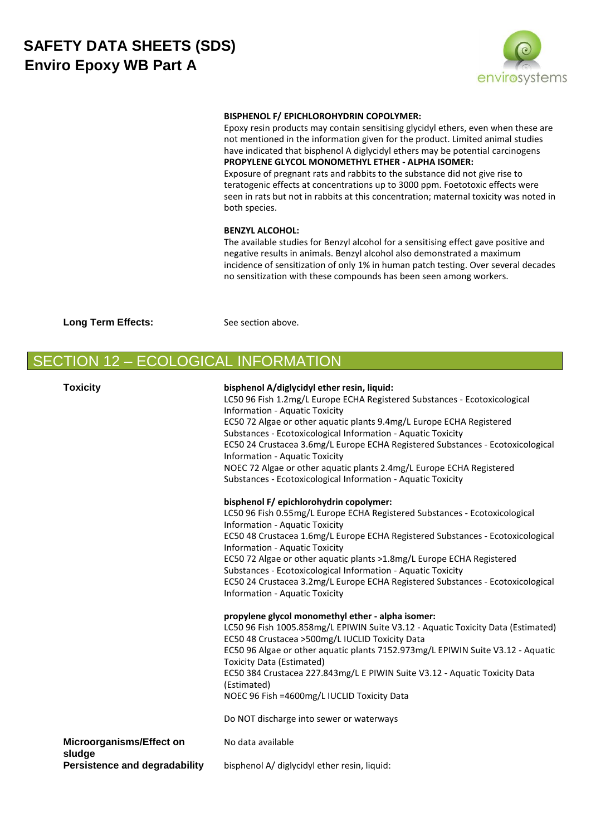

### **BISPHENOL F/ EPICHLOROHYDRIN COPOLYMER:**

Epoxy resin products may contain sensitising glycidyl ethers, even when these are not mentioned in the information given for the product. Limited animal studies have indicated that bisphenol A diglycidyl ethers may be potential carcinogens **PROPYLENE GLYCOL MONOMETHYL ETHER - ALPHA ISOMER:** Exposure of pregnant rats and rabbits to the substance did not give rise to

teratogenic effects at concentrations up to 3000 ppm. Foetotoxic effects were seen in rats but not in rabbits at this concentration; maternal toxicity was noted in both species.

### **BENZYL ALCOHOL:**

The available studies for Benzyl alcohol for a sensitising effect gave positive and negative results in animals. Benzyl alcohol also demonstrated a maximum incidence of sensitization of only 1% in human patch testing. Over several decades no sensitization with these compounds has been seen among workers.

**Long Term Effects:** See section above.

## SECTION 12 – ECOLOGICAL INFORMATION

|  | Toxicitv |
|--|----------|
|  |          |

| <b>Toxicity</b>                      | bisphenol A/diglycidyl ether resin, liquid:                                                                                         |
|--------------------------------------|-------------------------------------------------------------------------------------------------------------------------------------|
|                                      | LC50 96 Fish 1.2mg/L Europe ECHA Registered Substances - Ecotoxicological                                                           |
|                                      | <b>Information - Aquatic Toxicity</b>                                                                                               |
|                                      | EC50 72 Algae or other aquatic plants 9.4mg/L Europe ECHA Registered                                                                |
|                                      | Substances - Ecotoxicological Information - Aquatic Toxicity                                                                        |
|                                      | EC50 24 Crustacea 3.6mg/L Europe ECHA Registered Substances - Ecotoxicological                                                      |
|                                      | <b>Information - Aquatic Toxicity</b>                                                                                               |
|                                      | NOEC 72 Algae or other aquatic plants 2.4mg/L Europe ECHA Registered                                                                |
|                                      | Substances - Ecotoxicological Information - Aquatic Toxicity                                                                        |
|                                      | bisphenol F/ epichlorohydrin copolymer:                                                                                             |
|                                      | LC50 96 Fish 0.55mg/L Europe ECHA Registered Substances - Ecotoxicological<br><b>Information - Aquatic Toxicity</b>                 |
|                                      | EC50 48 Crustacea 1.6mg/L Europe ECHA Registered Substances - Ecotoxicological                                                      |
|                                      | <b>Information - Aquatic Toxicity</b>                                                                                               |
|                                      | EC50 72 Algae or other aquatic plants >1.8mg/L Europe ECHA Registered                                                               |
|                                      | Substances - Ecotoxicological Information - Aquatic Toxicity                                                                        |
|                                      | EC50 24 Crustacea 3.2mg/L Europe ECHA Registered Substances - Ecotoxicological                                                      |
|                                      | <b>Information - Aquatic Toxicity</b>                                                                                               |
|                                      | propylene glycol monomethyl ether - alpha isomer:                                                                                   |
|                                      | LC50 96 Fish 1005.858mg/L EPIWIN Suite V3.12 - Aquatic Toxicity Data (Estimated)<br>EC50 48 Crustacea >500mg/L IUCLID Toxicity Data |
|                                      | EC50 96 Algae or other aquatic plants 7152.973mg/L EPIWIN Suite V3.12 - Aquatic<br><b>Toxicity Data (Estimated)</b>                 |
|                                      | EC50 384 Crustacea 227.843mg/L E PIWIN Suite V3.12 - Aquatic Toxicity Data                                                          |
|                                      | (Estimated)                                                                                                                         |
|                                      | NOEC 96 Fish =4600mg/L IUCLID Toxicity Data                                                                                         |
|                                      | Do NOT discharge into sewer or waterways                                                                                            |
| Microorganisms/Effect on<br>sludge   | No data available                                                                                                                   |
| <b>Persistence and degradability</b> | bisphenol A/ diglycidyl ether resin, liquid:                                                                                        |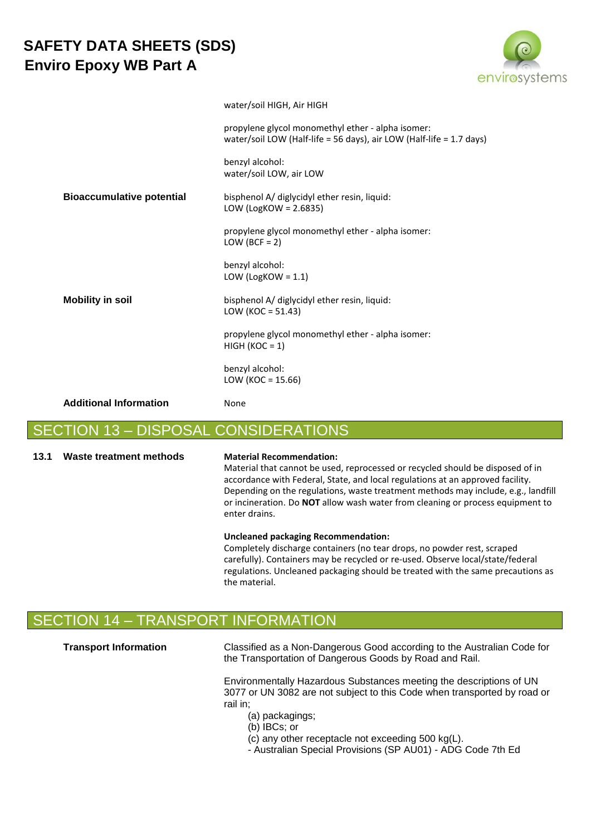

|                                  | water/soil HIGH, Air HIGH                                                                                                 |
|----------------------------------|---------------------------------------------------------------------------------------------------------------------------|
|                                  | propylene glycol monomethyl ether - alpha isomer:<br>water/soil LOW (Half-life = 56 days), air LOW (Half-life = 1.7 days) |
|                                  | benzyl alcohol:<br>water/soil LOW, air LOW                                                                                |
| <b>Bioaccumulative potential</b> | bisphenol A/ diglycidyl ether resin, liquid:<br>LOW (LogKOW = 2.6835)                                                     |
|                                  | propylene glycol monomethyl ether - alpha isomer:<br>LOW (BCF = $2$ )                                                     |
|                                  | benzyl alcohol:<br>LOW (LogKOW = $1.1$ )                                                                                  |
| <b>Mobility in soil</b>          | bisphenol A/ diglycidyl ether resin, liquid:<br>LOW (KOC = 51.43)                                                         |
|                                  | propylene glycol monomethyl ether - alpha isomer:<br>$HIGH (KOC = 1)$                                                     |
|                                  | benzyl alcohol:<br>LOW (KOC = $15.66$ )                                                                                   |
| <b>Additional Information</b>    | None                                                                                                                      |

## SECTION 13 – DISPOSAL CONSIDERATIONS

**13.1 Waste treatment methods Material Recommendation:**

Material that cannot be used, reprocessed or recycled should be disposed of in accordance with Federal, State, and local regulations at an approved facility. Depending on the regulations, waste treatment methods may include, e.g., landfill or incineration. Do **NOT** allow wash water from cleaning or process equipment to enter drains.

### **Uncleaned packaging Recommendation:**

Completely discharge containers (no tear drops, no powder rest, scraped carefully). Containers may be recycled or re-used. Observe local/state/federal regulations. Uncleaned packaging should be treated with the same precautions as the material.

# SECTION 14 – TRANSPORT INFORMATION

**Transport Information** Classified as a Non-Dangerous Good according to the Australian Code for the Transportation of Dangerous Goods by Road and Rail.

> Environmentally Hazardous Substances meeting the descriptions of UN 3077 or UN 3082 are not subject to this Code when transported by road or rail in;

- (a) packagings;
- (b) IBCs; or
- (c) any other receptacle not exceeding 500 kg(L).
- Australian Special Provisions (SP AU01) ADG Code 7th Ed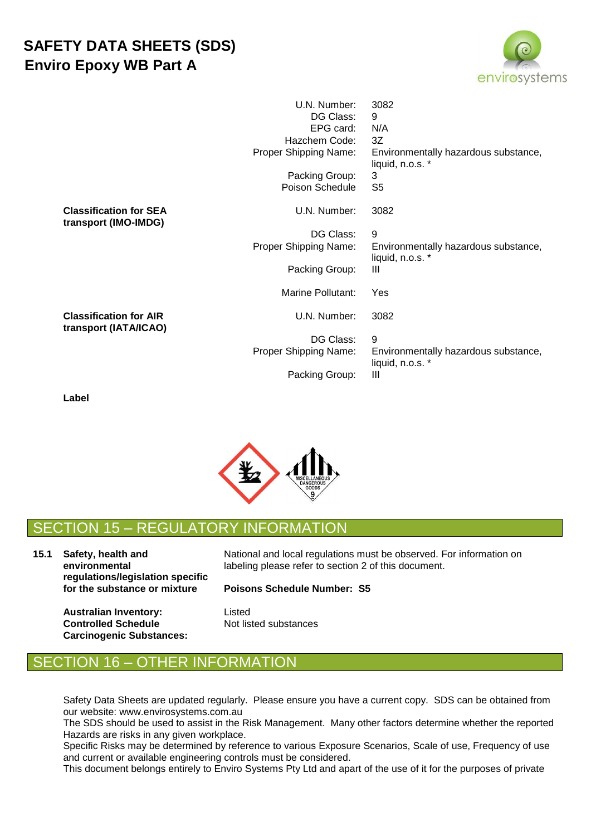

|                                                        | U.N. Number:<br>DG Class:<br>EPG card:<br>Hazchem Code:<br>Proper Shipping Name:<br>Packing Group:<br>Poison Schedule | 3082<br>9<br>N/A<br>3Z<br>Environmentally hazardous substance,<br>liquid, n.o.s. *<br>3<br>S <sub>5</sub> |
|--------------------------------------------------------|-----------------------------------------------------------------------------------------------------------------------|-----------------------------------------------------------------------------------------------------------|
| <b>Classification for SEA</b><br>transport (IMO-IMDG)  | U.N. Number:                                                                                                          | 3082                                                                                                      |
|                                                        | DG Class:                                                                                                             | 9                                                                                                         |
|                                                        | Proper Shipping Name:                                                                                                 | Environmentally hazardous substance,<br>liquid, n.o.s. *                                                  |
|                                                        | Packing Group:                                                                                                        | Ш                                                                                                         |
|                                                        | Marine Pollutant:                                                                                                     | Yes                                                                                                       |
| <b>Classification for AIR</b><br>transport (IATA/ICAO) | U.N. Number:                                                                                                          | 3082                                                                                                      |
|                                                        | DG Class:                                                                                                             | 9                                                                                                         |
|                                                        | Proper Shipping Name:                                                                                                 | Environmentally hazardous substance,<br>liquid, n.o.s. *                                                  |
|                                                        | Packing Group:                                                                                                        | Ш                                                                                                         |

**Label**



# SECTION 15 – REGULATORY INFORMATION

**15.1 Safety, health and environmental regulations/legislation specific for the substance or mixture**

> **Australian Inventory:** Listed **Controlled Schedule Carcinogenic Substances:**

National and local regulations must be observed. For information on labeling please refer to section 2 of this document.

### **Poisons Schedule Number: S5**

Not listed substances

### SECTION 16 – OTHER INFORMATION

Safety Data Sheets are updated regularly. Please ensure you have a current copy. SDS can be obtained from our website: www.envirosystems.com.au

The SDS should be used to assist in the Risk Management. Many other factors determine whether the reported Hazards are risks in any given workplace.

Specific Risks may be determined by reference to various Exposure Scenarios, Scale of use, Frequency of use and current or available engineering controls must be considered.

This document belongs entirely to Enviro Systems Pty Ltd and apart of the use of it for the purposes of private